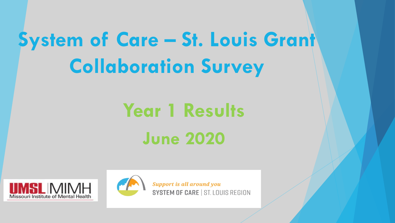# **System of Care – St. Louis Grant Collaboration Survey**

# **Year 1 Results June 2020**





**Support is all around you** SYSTEM OF CARE | ST. LOUIS REGION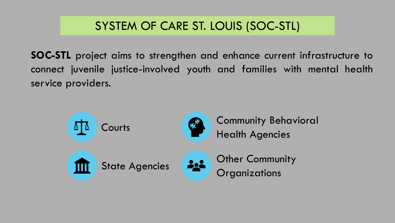## SYSTEM OF CARE ST. LOUIS (SOC-STL)

**SOC-STL** project aims to strengthen and enhance current infrastructure to connect juvenile justice-involved youth and families with mental health service providers.

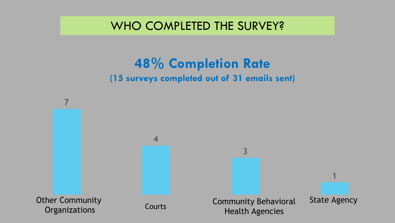WHO COMPLETED THE SURVEY?

## **48% Completion Rate (15 surveys completed out of 31 emails sent)**

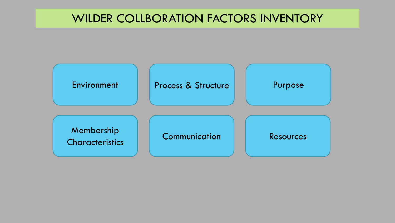#### WILDER COLLBORATION FACTORS INVENTORY

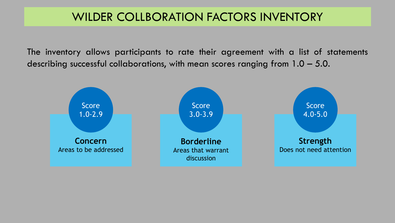#### WILDER COLLBORATION FACTORS INVENTORY

The inventory allows participants to rate their agreement with a list of statements describing successful collaborations, with mean scores ranging from 1.0 – 5.0.

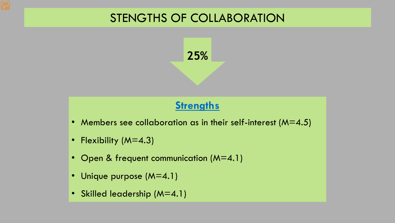### STENGTHS OF COLLABORATION



#### **Strengths**

- Members see collaboration as in their self-interest ( $M=4.5$ )
- Flexibility (M=4.3)
- Open & frequent communication (M=4.1)
- Unique purpose (M=4.1)
- Skilled leadership (M=4.1)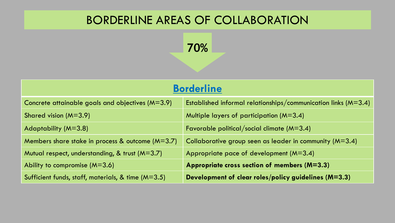#### BORDERLINE AREAS OF COLLABORATION

**70%**

| <b>Borderline</b>                                    |                                                                    |
|------------------------------------------------------|--------------------------------------------------------------------|
| Concrete attainable goals and objectives $(M=3.9)$   | Established informal relationships/communication links ( $M=3.4$ ) |
| Shared vision $(M=3.9)$                              | Multiple layers of participation ( $M=3.4$ )                       |
| Adaptability ( $M=3.8$ )                             | Favorable political/social climate $(M=3.4)$                       |
| Members share stake in process & outcome $(M=3.7)$   | Collaborative group seen as leader in community $(M=3.4)$          |
| Mutual respect, understanding, & trust $(M=3.7)$     | Appropriate pace of development $(M=3.4)$                          |
| Ability to compromise $(M=3.6)$                      | Appropriate cross section of members (M=3.3)                       |
| Sufficient funds, staff, materials, & time $(M=3.5)$ | Development of clear roles/policy guidelines (M=3.3)               |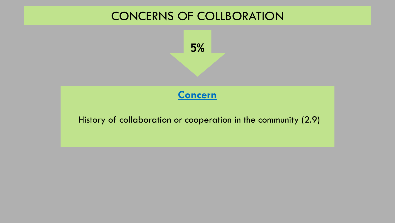



History of collaboration or cooperation in the community (2.9)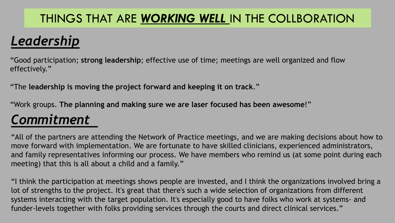## THINGS THAT ARE *WORKING WELL* IN THE COLLBORATION

# *Leadership*

"Good participation; **strong leadership**; effective use of time; meetings are well organized and flow effectively."

"The **leadership is moving the project forward and keeping it on track**."

"Work groups. **The planning and making sure we are laser focused has been awesome**!"

# *Commitment*

"All of the partners are attending the Network of Practice meetings, and we are making decisions about how to move forward with implementation. We are fortunate to have skilled clinicians, experienced administrators, and family representatives informing our process. We have members who remind us (at some point during each meeting) that this is all about a child and a family."

"I think the participation at meetings shows people are invested, and I think the organizations involved bring a lot of strengths to the project. It's great that there's such a wide selection of organizations from different systems interacting with the target population. It's especially good to have folks who work at systems- and funder-levels together with folks providing services through the courts and direct clinical services."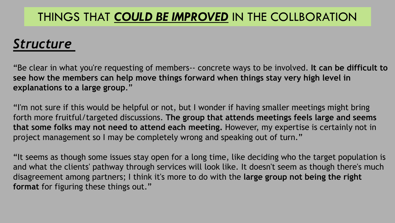### THINGS THAT *COULD BE IMPROVED* IN THE COLLBORATION

## *Structure*

"Be clear in what you're requesting of members-- concrete ways to be involved. **It can be difficult to see how the members can help move things forward when things stay very high level in explanations to a large group**."

"I'm not sure if this would be helpful or not, but I wonder if having smaller meetings might bring forth more fruitful/targeted discussions. **The group that attends meetings feels large and seems that some folks may not need to attend each meeting.** However, my expertise is certainly not in project management so I may be completely wrong and speaking out of turn."

"It seems as though some issues stay open for a long time, like deciding who the target population is and what the clients' pathway through services will look like. It doesn't seem as though there's much disagreement among partners; I think it's more to do with the **large group not being the right format** for figuring these things out."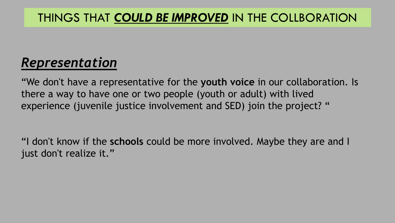### THINGS THAT *COULD BE IMPROVED* IN THE COLLBORATION

# *Representation*

"We don't have a representative for the **youth voice** in our collaboration. Is there a way to have one or two people (youth or adult) with lived experience (juvenile justice involvement and SED) join the project? "

"I don't know if the **schools** could be more involved. Maybe they are and I just don't realize it."